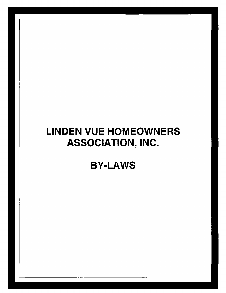# **LINDEN VUE HOMEOWNERS ASSOCIATION, INC.**

**BY-LAWS**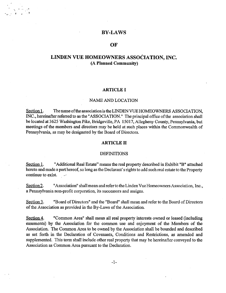# **BY-LAWS**

# **OF**

# **LINDEN VUE HOMEOWNERS ASSOCIATION, INC. (A Planned Community)**

# **ARTICLE I**

# NAME AND LOCATION

Section 1. The name of the association is the LINDEN VUE HOMEOWNERS ASSOCIATION. INC., hereinafter referred to as the "ASSOCIATION." The principal office of the association shall be located at 3625 Washington Pike, Bridgeville, PA 15017, Allegheny County, Pennsylvania, but meetings of the members and directors may be held at such places within the Commonwealth of Pennsylvania, as may be designated by the Board of Directors.

# **ARTICLE II**

### DEFINITIONS

Section 1. "Additional Real Estate" means the real property described in Exhibit "B" attached hereto and made a part hereof, so long as the Declarant's rights to add such real estate to the Property continue to exist. المحارب

Section 2. "Association" shall mean and refer to the Linden Vue Homeowners Association, Inc., a Pennsylvania non-profit corporation, its successors and assigns.

Section 3. "Board of Directors" and the "Board" shall mean and refer to the Board of Directors of the Association as provided in the By-Laws of the Association.

Section 4. "Common Area" shall mean all real property interests owned or leased (including easements) by the Association for the common use and enjoyment of the Members of the Association. The Common Area to be owned by the Association shall be bounded and described as set forth in the Declaration of Covenants, Conditions and Restrictions, as amended and supplemented. This term shall include other real property that may be hereinafter conveyed to the Association as Common Area pursuant to the Declaration.

-1-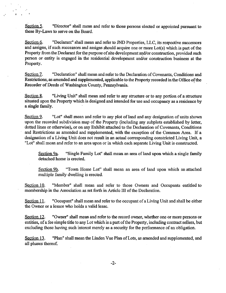Section 5. "Director" shall mean and refer to those persons elected or appointed pursuant to these By-Laws to serve on the Board.

Section 6. "Declarant" shall mean and refer to JND Properties, LLC, its respective successors and assigns, if such successors and assigns should acquire one or more  $Lot(s)$  which is part of the Property from the Declarant for the purpose of site development and/or construction, provided such person or entity is engaged in the residential development and/or construction business at the Property.

Section 7. "Declaration" shall mean and refer to the Declaration of Covenants, Conditions and Restrictions, as amended and supplemented, applicable to the Property recorded in the Office of the Recorder of Deeds of Washington County, Pennsylvania.

Section 8. "Living Unit" shall mean and refer to any structure or to any portion of a structure situated upon the Property which is designed and intended for use and occupancy as a residence by a single family.

Section 9. "Lot" shall mean and refer to any plot of land and any designation of units shown upon the recorded subdivision map of the Property (including any subplots established by letter, dotted lines or otherwise), or on any Exhibit attached to the Declaration of Covenants, Conditions and Restrictions as amended and supplemented, with the exception of the Common Area. If a designation of a Living Unit does not result in an actual corresponding constricted Living Unit, a "Lot" shall mean and refer to an area upon or in which each separate Living Unit is constructed.

Section 9a. "Single Family Lot" shall mean an area of land upon which a single family detached home is erected.

Section 9b. "Town Home Lot" shall mean an area of land upon which an attached multiple family dwelling is erected.

Section 10. "Member" shall mean and refer to those Owners and Occupants entitled to membership in the Association as set forth in Article III of the Declaration.

Section 11. "Occupant" shall mean and refer to the occupant of a Living Unit and shall be either the Owner or a lessee who holds a valid lease.

Section 12. "Owner" shall mean and refer to the record owner, whether one or more persons or entities, of a fee simple title to any Lot which is a part of the Property, including contract sellers, but excluding those having such interest merely as a security for the performance of an obligation.

Section 13. "Plan" shall mean the Linden Vue Plan of Lots, as amended and supplemented, and all phases thereof.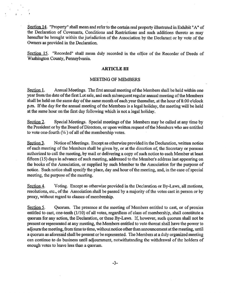Section 14. "Property" shall mean and refer to the certain real property illustrated in Exhibit "A" of the Declaration of Covenants, Conditions and Restrictions and such additions thereto as may hereafter be brought within the jurisdiction of the Association by the Declarant or by vote of the Owners as provided in the Declaration.

Section 15. "Recorded" shall mean duly recorded in the office of the Recorder of Deeds of Washington County, Pennsylvania.

# **ARTICLE III**

# MEETING OF MEMBERS

Section 1. Annual Meetings. The first annual meeting of the Members shall be held within one year from the date of the first Lot sale, and each subsequent regular annual meeting of the Members shall be held on the same day of the same month of each year thereafter, at the hour of 8:00 o'clock p.m. If the day for the annual meeting of the Members is a legal holiday, the meeting will be held at the same hour on the first day following which is not a legal holiday.

Section 2. Special Meetings. Special meetings of the Members may be called at any time by the President or by the Board of Directors, or upon written request of the Members who are entitled to vote one-fourth  $(\frac{1}{4})$  of all of the membership votes.

Section 3. Notice of Meetings. Except as otherwise provided in the Declaration, written notice of each meeting ofthe Members shall be given by, or at the direction of, the Secretary or persons authorized to call the meeting, by mail or delivering a copy of such notice to each Member at least fifteen  $(15)$  days in advance of such meeting, addressed to the Member's address last appearing on the books of the Association, or supplied by such Member to the Association for the purpose of notice. Such notice shall specify the place, day and hour of the meeting, and, in the case of special meeting, the purpose of the meeting.

Section 4. Voting. Except as otherwise provided in the Declaration or By-Laws, all motions, resolutions, etc., of the Association shall be passed by a majority of the votes cast in person or by proxy, without regard to classes of membership.

Section 5. Quorum. The presence at the meeting of Members entitled to cast, or of proxies entitled to cast, one-tenth (1/10) of all votes, regardless of class of membership, shall constitute a quorum for any action, the Declaration, or these By-Laws. If, however, such quorum shall not be present or represented at any meeting, the Members entitled to vote thereat shall have the power to adjourn the meeting, from time to time, without notice other than announcement at the meeting, until a quorum as aforesaid shall be present or be represented. The Members at a duly organized meeting can continue to do business until adjournment, notwithstanding the withdrawal of the holders of enough votes to leave less than a quorum.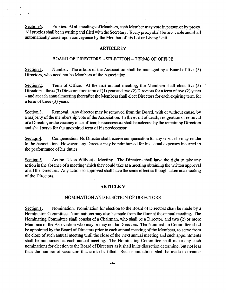Section 6. Proxies. At all meetings of Members, each Membermay vote in person or by proxy. All proxies shall be in writing and filed with the Secretary. Every proxy shall be revocable and shall automatically cease upon conveyance by the Member of his Lot or Living Unit.

# **ARTICLE IV**

# BOARD OF DIRECTORS - SELECTION - TERMS OF OFFICE

Section 1. Number. The affairs of the Association shall be managed by a Board of five  $(5)$ Directors, who need not be Members of the Association.

Section 2. Term of Office. At the first annual meeting, the Members shall elect five (5) Directors – three (3) Directors for a term of (1) year and two (2) Directors for a term of two (2) years  $-$  and at each annual meeting thereafter the Members shall elect Directors for each expiring term for a term of three (3) years.

Section 3. Removal. Any director may be removed from the Board, with or without cause, by a majority of the membership vote of the Association. In the event of death, resignation or removal of a Director, or the vacancy of an officer, his successors shall be selected by the remaining Directors and shall serve for the unexpired term of his predecessor.

Section 4. Compensation. No Director shall receive compensation for any service he may render to the Association. However, any Director may be reimbursed for his actual expenses incurred in the perfomrance of his duties.

Section 5. Action Taken Without a Meeting. The Directors shall have the right to take any action in the absence of a meeting which they could take at a meeting obtaining the written approval ofall the Directors. Any action so approved shall have the same effect as though taken at a meeting of the Directors.

# **ARTICLE V**

# NOMINATION AND ELECTION OF DIRECTORS

Section 1. Nomination. Nomination for election to the Board of Directors shall be made by a Nomination Committee. Nominations may also be made from the floor at the annual meeting. The Nominating Committee shall consist of a Chairman, who shall be a Director, and two (2) or more Members of the Association who may or may not be Directors. The Nomination Committee shall be appointed by the Board of Directors prior to each annual meeting of the Members, to serve from the close of such annual meeting until the close of the next annual meeting and such appointments shall be announced at each annual meeting. The Nominating Committee shall make any such nominations for election to the Board of Directors as it shall in its discretion determine, but not less than the number of vacancies that are to be filled. Such nominations shall be made in manner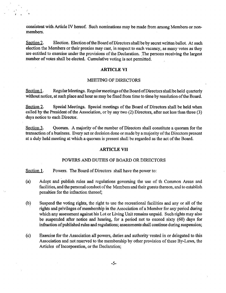consistent with Article IV hereof. Such nominations may be made from among Members or nonmembers.

*f*

Section 2. Election, Election of the Board of Directors shall be by secret written ballot. At such election the Members or their proxies may cast, in respect to each vacancy, as many votes as they are entitled to exercise under the provisions of the Declaration. The persons receiving the largest number of votes shall be elected. Cumulative voting is not permitted.

# **ARTICLE VI**

# MEETING OF DIRECTORS

Section 1. Regular Meetings. Regular meetings of the Board of Directors shall be held quarterly without notice, at such place and hour as may be fixed from time to time by resolution of the Board.

Section 2. Special Meetings. Special meetings of the Board of Directors shall be held when called by the President of the Association, or by any two  $(2)$  Directors, after not less than three  $(3)$ days notice to each Director.

Section  $3.$  Quorum. A majority of the number of Directors shall constitute a quorum for the transaction of a business. Every act or decision done or made by a majority of the Directors present at a duly held meeting at which a quorum is present shall be regarded as the act of the Board.

# **ARTICLE VII**

# POWERS AND DUTIES OF BOARD OR DIRECTORS

Section 1. Powers. The Board of Directors shall have the power to:

- (a) Adopt and publish rules and regulations governing the use of th Common Areas and facilities, and the personal conduct of the Members and their guests thereon, and to establish penalties for the infraction thereof;
- (b) Suspend the voting rights, the right to use the recreational facilities and any or all of the rights and privileges of membership in the Association of a Member for any period during which any assessment against his Lot or Living Unit remains unpaid. Such rights may also be suspended after notice and hearing, for a period not to exceed sixty (60) days for infraction of published rules and regulations; assessments shall continue during suspension;
- (c) Exercise for the Association all powers, duties and authority vested in or delegated to this Association and not reserved to the membership by other provision of these By-Laws, the Articles of Incorporation, or the Declaration;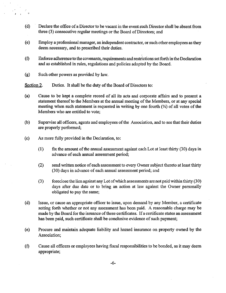- (d) Declare the office of a Director to be vacant in the event such Director shall be absent from three (3) consecutive regular meetings or the Board of Directors; and
- (e) Employ a professional manager, an independent contractor, orsuch other employees asthey deem necessary, and to prescribed their duties.
- (f) Enforce adherence to the covenants, requirements and restrictionssetforth inthe Declaration and as established in rules, regulations and policies adopted by the Board.
- (g) Such other powers as provided by law.

Section 2. Duties. It shall be the duty of the Board of Directors to:

- (a) Cause to be kept a complete record of all its acts and corporate affairs and to present a statement thereof to the Members at the annual meeting of the Members, or at any special meeting when such statement is requested in writing by one fourth  $(\frac{1}{4})$  of all votes of the Members who are entitled to vote;
- (b) Supervise all officers, agents and employees ofthe Association, and to see that their duties are properly performed;
- (c) As more fully provided in the Declaration, to:
	- $(1)$  fix the amount of the annual assessment against each Lot at least thirty  $(30)$  days in advance of each annual assessment period;
	- (2) send written notice of each assessment to every Owner subject thereto at least thirty (30) days in advance of each annual assessment period; and
	- (3) foreclose the lien against any Lot ofwhich assessments arenotpaidwithin thirty (30) days after due date or to bring an action at law against the Owner personally obligated to pay the same;
- (d) Issue, or cause an appropriate officer to issue, upon demand by any Member, a certificate setting forth whether or not any assessment has been paid. A reasonable charge may be made by the Board for the issuance of these certificates. If a certificate states an assessment has been paid, such certificate shall be conclusive evidence of such payment;
- (e) Procure and maintain adequate liability and hazard insurance on property owned by the Association;
- (f) Cause all officers or employees having fiscal responsibilities to be bonded, as it may deem appropriate;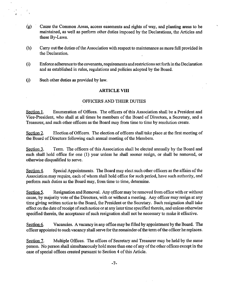- (g) Cause the Common Areas, access easements and rights of way, and planting areas to be maintained, as well as perform other duties imposed by the Declarations, the Articles and these By-Laws.
- (h) Carry out the duties of the Association with respect to maintenance as more full provided in the Declaration.
- (i) Enforce adherence to the covenants, requirements and restrictionssetforth in the Declaration and as established in rules, regulations and policies adopted by the Board.
- (j) Such other duties as provided by law.

# **ARTICLE VIII**

# OFFICERS AND THEIR DUTIES

Section 1. Enumeration of Offices. The officers of this Association shall be a President and Vice-President, who shall at all times be members of the Board of Directors, a Secretary, and a Treasurer, and such other officers as the Board may from time to time by resolution create.

Section 2. Election of Officers. The election of officers shall take place at the first meeting of the Board of Directors following each annual meeting of the Members.

Section 3. Term. The officers of this Association shall be elected annually by the Board and each shall hold office for one (1) year unless he shall sooner resign, or shall be removed, or otherwise disqualified to serve.

Section 4. Special Appointments. The Board may elect such other officers as the affairs of the Association may require, each of whom shall hold office for such period, have such authority, and perform such duties as the Board may, from time to time, determine.

Section 5. Resignation and Removal. Any officer may be removed from office with or without cause, by majority vote of the Directors, with or without a meeting. Any officer may resign at any time giving written notice to the Board, the President or the Secretary. Such resignation shall take effect on the date of receipt of such notice or at any later time specified therein, and unless otherwise specified therein, the acceptance of such resignation shall not be necessary to make it effective.

Section 6. Vacancies. A vacancy in any office may be filled by appointment by the Board. The officer appointed to such vacancy shall serve for the remainder of the term of the officer he replaces.

Section 7. Multiple Offices. The offices of Secretary and Treasurer may be held by the same person. No person shall simultaneously hold more than one of any of the other offices except in the case of special offices created pursuant to Section 4 of this Article.

-7-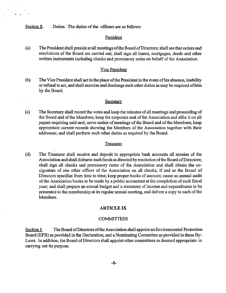Section 8. Duties. The duties of the officers are as follows:

# President

(a) The Presidentshall preside at all meetings oftheBoard ofDirectors; shall see that orders and resolutions of the Board are carried out; shall sign all leases, mortgages, deeds and other written instruments including checks and promissory notes on behalf of the Association.

# Vice President

(b) The Vice President shall act in the place of the President in the event of his absence, inability or refusal to act, and shall exercise and discharge such other duties as may be required of him by the Board.

# **Secretary**

(c) The Secretary shall record the votes and keep the minutes ofallmeetings and proceeding of the Board and ofthe Members; keep the corporate seal ofthe Association and affix it on all papers requiring said seal; serve notice of meetings of the Board and of the Members; keep appropriate current records showing the Members of the Association together with their addresses; and shall perform such other duties as required by the Board.

### Treasurer

(d) The Treasurer shall receive and deposit in appropriate bank accounts all monies of the Association and shall disburse such funds as directed by resolution of the Board of Directors; shall sign all checks and promissory notes of the Association and shall obtain the cosignature of one other officer of the Association on all checks, if and as the Board of Directors specifies from time to time; keep proper books of account; cause an annual audit of the Association books to be made by a public accountant at the completion of each fiscal year; and shall prepare an annual budget and a statement ofincome and expenditures to be presented to the membership at its regular annual meeting, and deliver a copy to each of the Members.

# **ARTICLE IX**

# COMMITTEES

Section 1. The Board of Directors of the Association shall appoint an Environmental Protection Board (EPB) as provided in the Declaration, and a Nominating Committee as provided in these By-Laws. In addition, the Board of Directors shall appoint other committees as deemed appropriate in carrying out its purpose.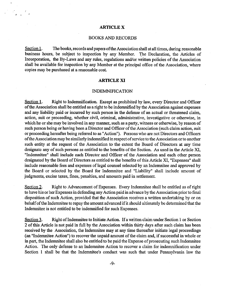# **ARTICLE X**

# BOOKS AND RECORDS

Section 1. The books, records and papers of the Association shall at all times, during reasonable business hours, be subject to inspection by any Member. The Declaration, the Articles of Incorporation, the By-Laws and any rules, regulations and/or written policies of the Association shall be available for inspection by any Member at the principal office of the Association, where copies may be purchased at a reasonable cost.

# **ARTICLE XI**

# INDEMNIFICATION

Section 1. Right to Indemnification. Except as prohibited by law, every Director and Officer of the Association shall be entitled as a right to be indemnified by the Association against expenses and any liability paid or incurred by such person in the defense of an actual or threatened claim, action, suit or proceeding, whether civil, criminal, administrative, investigative or otherwise, in which he or she may be involved in any manner, such as a party, witness or otherwise, by reason of such person being or having been a Director and Officer of the Association (such claim action, suit or proceeding hereafter being referred to as "Action"). Persons who are not Directors and Officers ofthe Associationmay be similarly indemnified in respectofservice to the Association orto another such entity at the request of the Association to the extent the Board of Directors at any time designate any of such persons as entitled to the benefits of the Section. As used in the Article XI, "Indemnitee" shall include each Director and Officer of the Association and each other person designated by the Board of Directors as entitled to the benefits of this Article XI, "Expenses" shall include reasonable fees and expenses of legal counsel selected by an Indemnitee and approved by the Board or selected by the Board for Indemnitee and "Liability" shall include amount of judgments, excise taxes, fines, penalties, and amounts paid in settlement.

Section 2. Right to Advancement of Expenses. Every Indemnitee shall be entitled as of right to have his or her Expenses indefending any Action paid in advance by the Association priorto final disposition of such Action, provided that the Association receives a written undertaking by or on behalf of the Indemnitee to repay the amount advanced if it should ultimately be determined that the Indemnitee is not entitled to be indemnified for such Expenses.

Section 3. Right of Indemnitee to Initiate Action. If a written claim under Section 1 or Section 2 of this Article is not paid in full by the Association within thirty days after such claim has been received by the Association, the Indemnitee may at any time thereafter initiate legal proceedings (an "Indemnitee Action") to recover the unpaid amount of the claim and, if successful in whole or in part, the Indemnitee shall also be entitled to be paid the Expense of prosecuting such Indemnitee Action. The only defense to an Indemnitee Action to recover a claim for indemnification under Section <sup>1</sup> shall be that the Indemnitee's conduct was such that under Pennsylvania law the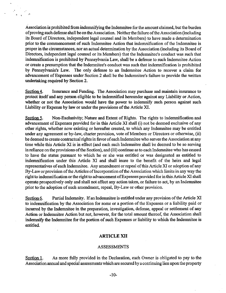Association is prohibited from indemnifying the Indemnitee for the amount claimed, but the burden of proving such defense shall be on the Association. Neither the failure of the Association (including its Board of Directors, independent legal counsel and its Members) to have made a determination prior to the commencement of such Indemnitee Action that indemnification of the Indemnitee is proper in the circumstances, nor an actual determination by the Association (including its Board of Directors, independent legal counsel or its Members) that the Indemnitee's conduct was such that indemnification is prohibited by Pennsylvania Law, shall be a defense to such Indemnitee Action or create a presumption that the Indemnitee's conduct was such that indemnification is prohibited by Pennsylvania's Law. The only defense to an Indemnitee Action to recover a claim for advancement of Expenses under Section 2 shall be the Indemnitee's failure to provide the written undertaking required by Section 2.

Section 4. Insurance and Funding. The Association may purchase and maintain insurance to protect itself and any person eligible to be indemnified hereunder against any Liability or Action, whether or not the Association would have the power to indemnify such person against such Liability or Expense by law or under the provisions of the Article XI.

Section 5. Non-Exclusivity; Nature and Extent of Rights. The rights to indemnification and advancement of Expenses provided for in this Article XI shall (i) not be deemed exclusive of any other rights, whether now existing or hereafter created, to which any Indemnitee may be entitled under any agreement or by-law, charter provision, vote of Members or Directors or otherwise, (ii) be deemed to create contractual rights in favor of each Indemnitee who serves the Association at any time while this Article XI is in effect (and each such Indemnitee shall be deemed to be so serving in reliance on the provisions of the Section), and (iii) continue as to each Indemnitee who has ceased to have the status pursuant to which he or she was entitled or was designated as entitled to indemnification under this Article XI and shall inure to the benefit of the heirs and legal representatives of each Indemnitee. Any amendment or repeal of this Article XI or adoption of any By-Law or provision of the Articles of Incorporation of the Association which limits in any way the right to indemnification or the right to advancement of Expenses provided for in this Article XI shall operate prospectively only and shall not affect any action taken, or failure to act, by an Indemnitee prior to the adoption of such amendment, repeal, By-Law or other provision.

Section 6. Partial Indemnity. If an Indemnitee is entitled under any provision of the Article XI to indemnification by the Association for some or a portion of the Expenses or a liability paid or incurred by the Indemnitee in the preparation, investigation, defense, appeal or settlement of any Action or Indemnitee Action but not, however, for the total amount thereof, the Association shall indemnify the Indemnitee for the portion of such Expenses or liability to which the Indemnitee is entitled.

# **ARTICLE XII**

# ASSESSMENTS

Section 1. As more fully provided in the Declaration, each Owner is obligated to pay to the Association annual and special assessments which are secured by a continuing lien uponthe property